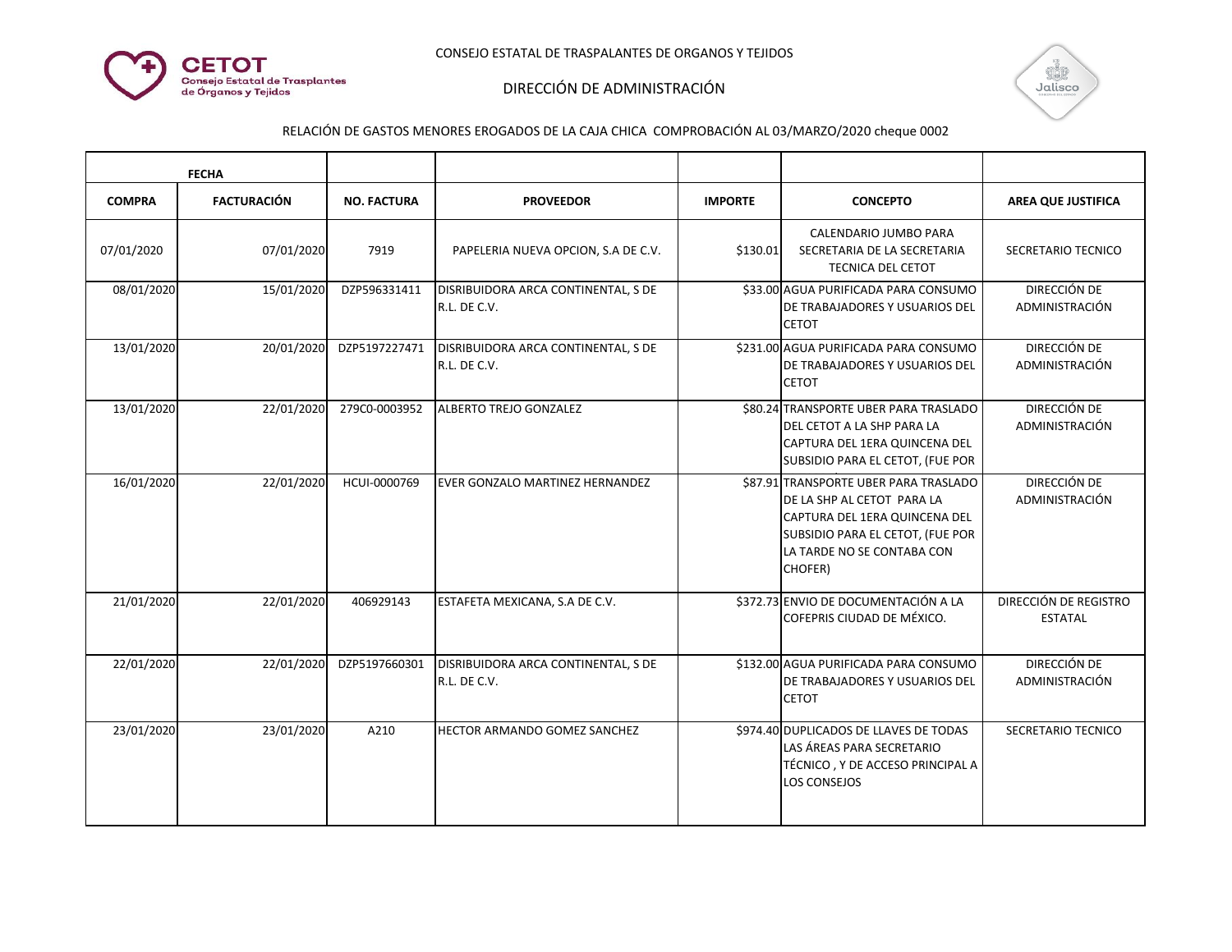



| <b>FECHA</b>  |                    |                    |                                                     |                |                                                                                                                                                                                    |                                                |
|---------------|--------------------|--------------------|-----------------------------------------------------|----------------|------------------------------------------------------------------------------------------------------------------------------------------------------------------------------------|------------------------------------------------|
| <b>COMPRA</b> | <b>FACTURACIÓN</b> | <b>NO. FACTURA</b> | <b>PROVEEDOR</b>                                    | <b>IMPORTE</b> | <b>CONCEPTO</b>                                                                                                                                                                    | <b>AREA QUE JUSTIFICA</b>                      |
| 07/01/2020    | 07/01/2020         | 7919               | PAPELERIA NUEVA OPCION, S.A DE C.V.                 | \$130.01       | CALENDARIO JUMBO PARA<br>SECRETARIA DE LA SECRETARIA<br><b>TECNICA DEL CETOT</b>                                                                                                   | SECRETARIO TECNICO                             |
| 08/01/2020    | 15/01/2020         | DZP596331411       | DISRIBUIDORA ARCA CONTINENTAL, S DE<br>R.L. DE C.V. |                | \$33.00 AGUA PURIFICADA PARA CONSUMO<br>DE TRABAJADORES Y USUARIOS DEL<br><b>CETOT</b>                                                                                             | DIRECCIÓN DE<br>ADMINISTRACIÓN                 |
| 13/01/2020    | 20/01/2020         | DZP5197227471      | DISRIBUIDORA ARCA CONTINENTAL, S DE<br>R.L. DE C.V. |                | \$231.00 AGUA PURIFICADA PARA CONSUMO<br>DE TRABAJADORES Y USUARIOS DEL<br><b>CETOT</b>                                                                                            | DIRECCIÓN DE<br>ADMINISTRACIÓN                 |
| 13/01/2020    | 22/01/2020         | 279C0-0003952      | ALBERTO TREJO GONZALEZ                              |                | \$80.24 TRANSPORTE UBER PARA TRASLADO<br>IDEL CETOT A LA SHP PARA LA<br> CAPTURA DEL 1ERA QUINCENA DEL<br>SUBSIDIO PARA EL CETOT, (FUE POR                                         | DIRECCIÓN DE<br>ADMINISTRACIÓN                 |
| 16/01/2020    | 22/01/2020         | HCUI-0000769       | EVER GONZALO MARTINEZ HERNANDEZ                     |                | \$87.91 TRANSPORTE UBER PARA TRASLADO<br>DE LA SHP AL CETOT PARA LA<br>ICAPTURA DEL 1ERA QUINCENA DEL<br>SUBSIDIO PARA EL CETOT, (FUE POR<br>LA TARDE NO SE CONTABA CON<br>CHOFER) | DIRECCIÓN DE<br>ADMINISTRACIÓN                 |
| 21/01/2020    | 22/01/2020         | 406929143          | ESTAFETA MEXICANA, S.A DE C.V.                      |                | \$372.73 ENVIO DE DOCUMENTACIÓN A LA<br>COFEPRIS CIUDAD DE MÉXICO.                                                                                                                 | <b>DIRECCIÓN DE REGISTRO</b><br><b>ESTATAL</b> |
| 22/01/2020    | 22/01/2020         | DZP5197660301      | DISRIBUIDORA ARCA CONTINENTAL, S DE<br>R.L. DE C.V. |                | \$132.00 AGUA PURIFICADA PARA CONSUMO<br>DE TRABAJADORES Y USUARIOS DEL<br><b>CETOT</b>                                                                                            | DIRECCIÓN DE<br>ADMINISTRACIÓN                 |
| 23/01/2020    | 23/01/2020         | A210               | HECTOR ARMANDO GOMEZ SANCHEZ                        |                | \$974.40 DUPLICADOS DE LLAVES DE TODAS<br>LAS ÁREAS PARA SECRETARIO<br>TÉCNICO, Y DE ACCESO PRINCIPAL A<br><b>LOS CONSEJOS</b>                                                     | SECRETARIO TECNICO                             |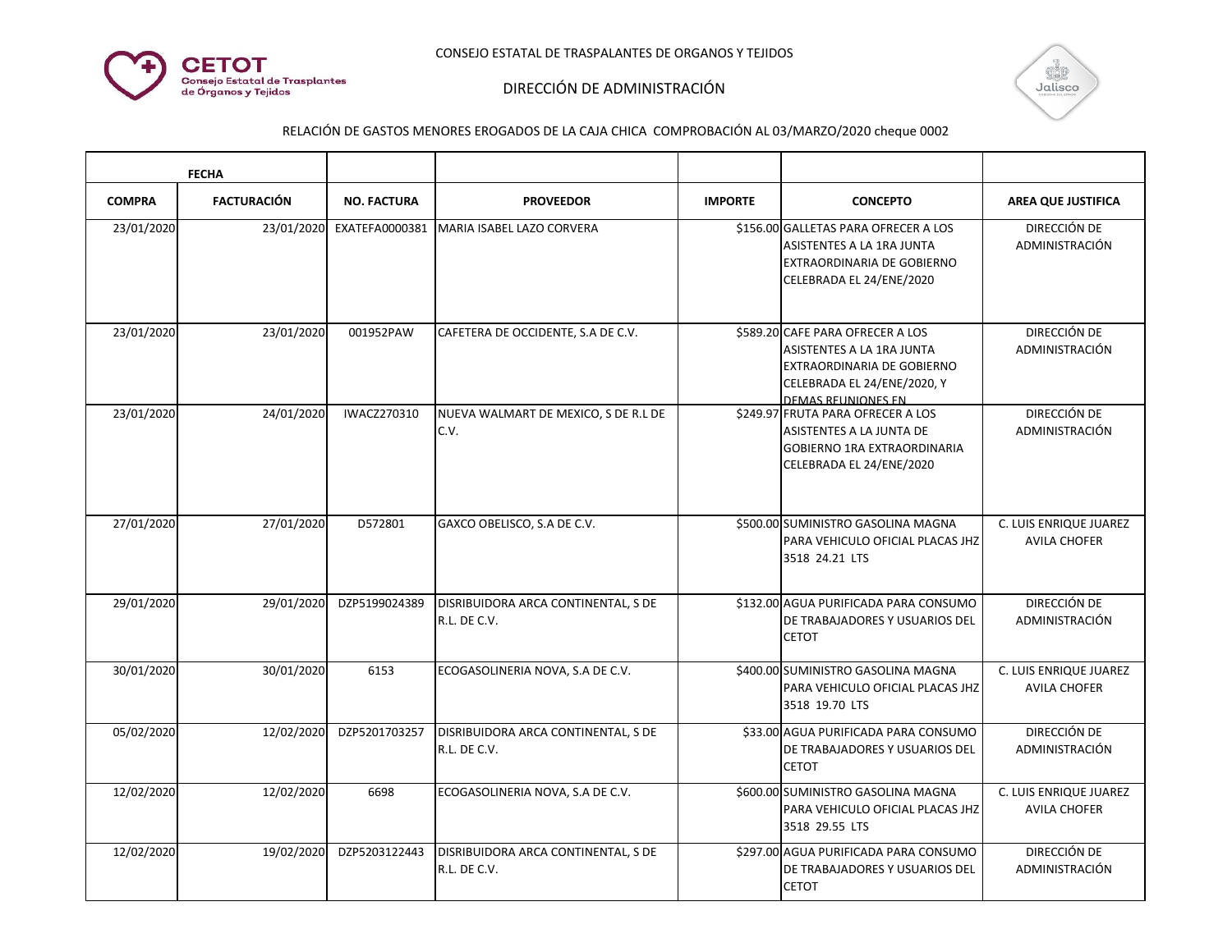



| <b>FECHA</b>  |                    |                    |                                                     |                |                                                                                                                                                  |                                                      |
|---------------|--------------------|--------------------|-----------------------------------------------------|----------------|--------------------------------------------------------------------------------------------------------------------------------------------------|------------------------------------------------------|
| <b>COMPRA</b> | <b>FACTURACIÓN</b> | <b>NO. FACTURA</b> | <b>PROVEEDOR</b>                                    | <b>IMPORTE</b> | <b>CONCEPTO</b>                                                                                                                                  | <b>AREA QUE JUSTIFICA</b>                            |
| 23/01/2020    | 23/01/2020         | EXATEFA0000381     | MARIA ISABEL LAZO CORVERA                           |                | \$156.00 GALLETAS PARA OFRECER A LOS<br>ASISTENTES A LA 1RA JUNTA<br>EXTRAORDINARIA DE GOBIERNO<br>CELEBRADA EL 24/ENE/2020                      | DIRECCIÓN DE<br>ADMINISTRACIÓN                       |
| 23/01/2020    | 23/01/2020         | 001952PAW          | CAFETERA DE OCCIDENTE, S.A DE C.V.                  |                | \$589.20 CAFE PARA OFRECER A LOS<br>ASISTENTES A LA 1RA JUNTA<br>EXTRAORDINARIA DE GOBIERNO<br>CELEBRADA EL 24/ENE/2020, Y<br>DEMAS REUNIONES EN | DIRECCIÓN DE<br>ADMINISTRACIÓN                       |
| 23/01/2020    | 24/01/2020         | IWACZ270310        | NUEVA WALMART DE MEXICO, S DE R.L DE<br>C.V.        |                | \$249.97 FRUTA PARA OFRECER A LOS<br>ASISTENTES A LA JUNTA DE<br><b>GOBIERNO 1RA EXTRAORDINARIA</b><br>CELEBRADA EL 24/ENE/2020                  | DIRECCIÓN DE<br>ADMINISTRACIÓN                       |
| 27/01/2020    | 27/01/2020         | D572801            | GAXCO OBELISCO, S.A DE C.V.                         |                | \$500.00 SUMINISTRO GASOLINA MAGNA<br>PARA VEHICULO OFICIAL PLACAS JHZ<br>3518 24.21 LTS                                                         | C. LUIS ENRIQUE JUAREZ<br><b>AVILA CHOFER</b>        |
| 29/01/2020    | 29/01/2020         | DZP5199024389      | DISRIBUIDORA ARCA CONTINENTAL, S DE<br>R.L. DE C.V. |                | \$132.00 AGUA PURIFICADA PARA CONSUMO<br>DE TRABAJADORES Y USUARIOS DEL<br><b>CETOT</b>                                                          | DIRECCIÓN DE<br>ADMINISTRACIÓN                       |
| 30/01/2020    | 30/01/2020         | 6153               | ECOGASOLINERIA NOVA, S.A DE C.V.                    |                | \$400.00 SUMINISTRO GASOLINA MAGNA<br>PARA VEHICULO OFICIAL PLACAS JHZ<br>3518 19.70 LTS                                                         | <b>C. LUIS ENRIQUE JUAREZ</b><br><b>AVILA CHOFER</b> |
| 05/02/2020    | 12/02/2020         | DZP5201703257      | DISRIBUIDORA ARCA CONTINENTAL, S DE<br>R.L. DE C.V. |                | \$33.00 AGUA PURIFICADA PARA CONSUMO<br>DE TRABAJADORES Y USUARIOS DEL<br><b>CETOT</b>                                                           | DIRECCIÓN DE<br>ADMINISTRACIÓN                       |
| 12/02/2020    | 12/02/2020         | 6698               | ECOGASOLINERIA NOVA, S.A DE C.V.                    |                | \$600.00 SUMINISTRO GASOLINA MAGNA<br>PARA VEHICULO OFICIAL PLACAS JHZ<br>3518 29.55 LTS                                                         | C. LUIS ENRIQUE JUAREZ<br><b>AVILA CHOFER</b>        |
| 12/02/2020    | 19/02/2020         | DZP5203122443      | DISRIBUIDORA ARCA CONTINENTAL, S DE<br>R.L. DE C.V. |                | \$297.00 AGUA PURIFICADA PARA CONSUMO<br>DE TRABAJADORES Y USUARIOS DEL<br><b>CETOT</b>                                                          | DIRECCIÓN DE<br>ADMINISTRACIÓN                       |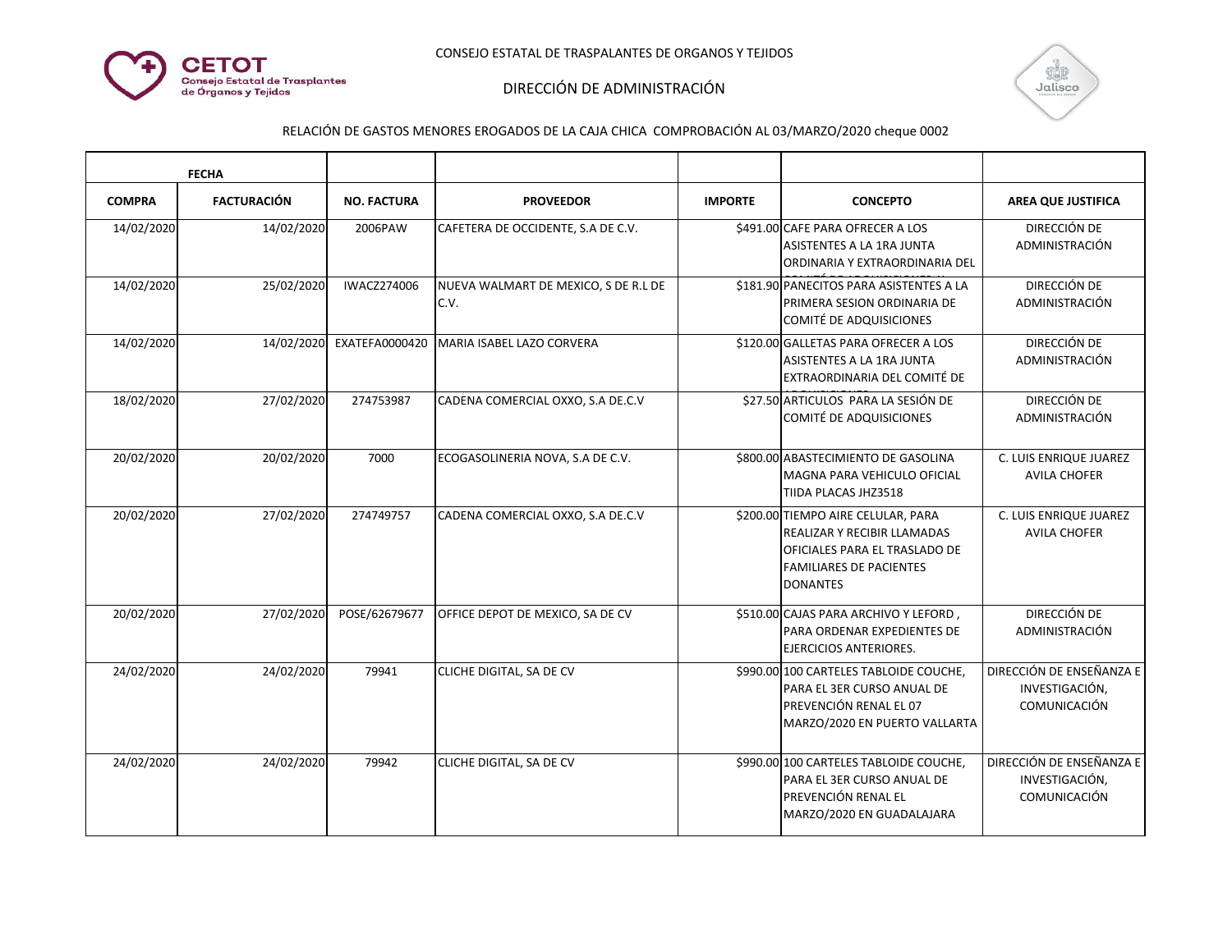



| <b>FECHA</b>  |                    |                    |                                              |                |                                                                                                                                                                |                                                            |
|---------------|--------------------|--------------------|----------------------------------------------|----------------|----------------------------------------------------------------------------------------------------------------------------------------------------------------|------------------------------------------------------------|
| <b>COMPRA</b> | <b>FACTURACIÓN</b> | <b>NO. FACTURA</b> | <b>PROVEEDOR</b>                             | <b>IMPORTE</b> | <b>CONCEPTO</b>                                                                                                                                                | <b>AREA QUE JUSTIFICA</b>                                  |
| 14/02/2020    | 14/02/2020         | 2006PAW            | CAFETERA DE OCCIDENTE, S.A DE C.V.           |                | \$491.00 CAFE PARA OFRECER A LOS<br>ASISTENTES A LA 1RA JUNTA<br>ORDINARIA Y EXTRAORDINARIA DEL                                                                | DIRECCIÓN DE<br>ADMINISTRACIÓN                             |
| 14/02/2020    | 25/02/2020         | <b>IWACZ274006</b> | NUEVA WALMART DE MEXICO, S DE R.L DE<br>C.V. |                | \$181.90 PANECITOS PARA ASISTENTES A LA<br>PRIMERA SESION ORDINARIA DE<br>COMITÉ DE ADQUISICIONES                                                              | DIRECCIÓN DE<br>ADMINISTRACIÓN                             |
| 14/02/2020    | 14/02/2020         | EXATEFA0000420     | MARIA ISABEL LAZO CORVERA                    |                | \$120.00 GALLETAS PARA OFRECER A LOS<br><b>ASISTENTES A LA 1RA JUNTA</b><br>EXTRAORDINARIA DEL COMITÉ DE                                                       | DIRECCIÓN DE<br>ADMINISTRACIÓN                             |
| 18/02/2020    | 27/02/2020         | 274753987          | CADENA COMERCIAL OXXO, S.A DE.C.V            |                | \$27.50 ARTICULOS PARA LA SESIÓN DE<br>COMITÉ DE ADQUISICIONES                                                                                                 | <b>DIRECCIÓN DE</b><br>ADMINISTRACIÓN                      |
| 20/02/2020    | 20/02/2020         | 7000               | ECOGASOLINERIA NOVA, S.A DE C.V.             |                | \$800.00 ABASTECIMIENTO DE GASOLINA<br>MAGNA PARA VEHICULO OFICIAL<br>TIIDA PLACAS JHZ3518                                                                     | C. LUIS ENRIQUE JUAREZ<br><b>AVILA CHOFER</b>              |
| 20/02/2020    | 27/02/2020         | 274749757          | CADENA COMERCIAL OXXO, S.A DE.C.V            |                | \$200.00 TIEMPO AIRE CELULAR, PARA<br><b>REALIZAR Y RECIBIR LLAMADAS</b><br>OFICIALES PARA EL TRASLADO DE<br><b>FAMILIARES DE PACIENTES</b><br><b>DONANTES</b> | C. LUIS ENRIQUE JUAREZ<br><b>AVILA CHOFER</b>              |
| 20/02/2020    | 27/02/2020         | POSE/62679677      | OFFICE DEPOT DE MEXICO, SA DE CV             |                | \$510.00 CAJAS PARA ARCHIVO Y LEFORD,<br>PARA ORDENAR EXPEDIENTES DE<br>EJERCICIOS ANTERIORES.                                                                 | DIRECCIÓN DE<br>ADMINISTRACIÓN                             |
| 24/02/2020    | 24/02/2020         | 79941              | CLICHE DIGITAL, SA DE CV                     |                | \$990.00 100 CARTELES TABLOIDE COUCHE,<br>PARA EL 3ER CURSO ANUAL DE<br><b>PREVENCIÓN RENAL EL 07</b><br>MARZO/2020 EN PUERTO VALLARTA                         | DIRECCIÓN DE ENSEÑANZA E<br>INVESTIGACIÓN,<br>COMUNICACIÓN |
| 24/02/2020    | 24/02/2020         | 79942              | <b>CLICHE DIGITAL, SA DE CV</b>              |                | \$990.00 100 CARTELES TABLOIDE COUCHE,<br>PARA EL 3ER CURSO ANUAL DE<br><b>PREVENCIÓN RENAL EL</b><br>MARZO/2020 EN GUADALAJARA                                | DIRECCIÓN DE ENSEÑANZA E<br>INVESTIGACIÓN,<br>COMUNICACIÓN |